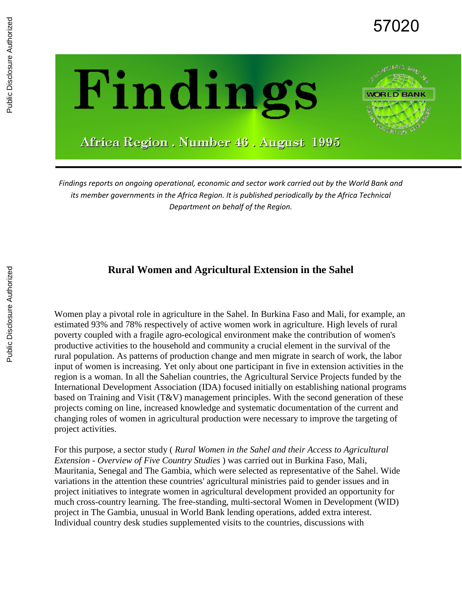



Africa Region . Number 46 . August 1995

*Findings reports on ongoing operational, economic and sector work carried out by the World Bank and its member governments in the Africa Region. It is published periodically by the Africa Technical Department on behalf of the Region.*

#### **Rural Women and Agricultural Extension in the Sahel**

Women play a pivotal role in agriculture in the Sahel. In Burkina Faso and Mali, for example, an estimated 93% and 78% respectively of active women work in agriculture. High levels of rural poverty coupled with a fragile agro-ecological environment make the contribution of women's productive activities to the household and community a crucial element in the survival of the rural population. As patterns of production change and men migrate in search of work, the labor input of women is increasing. Yet only about one participant in five in extension activities in the region is a woman. In all the Sahelian countries, the Agricultural Service Projects funded by the International Development Association (IDA) focused initially on establishing national programs based on Training and Visit (T&V) management principles. With the second generation of these projects coming on line, increased knowledge and systematic documentation of the current and changing roles of women in agricultural production were necessary to improve the targeting of project activities.

For this purpose, a sector study ( *Rural Women in the Sahel and their Access to Agricultural Extension* - *Overview of Five Country Studies* ) was carried out in Burkina Faso, Mali, Mauritania, Senegal and The Gambia, which were selected as representative of the Sahel. Wide variations in the attention these countries' agricultural ministries paid to gender issues and in project initiatives to integrate women in agricultural development provided an opportunity for much cross-country learning. The free-standing, multi-sectoral Women in Development (WID) project in The Gambia, unusual in World Bank lending operations, added extra interest. Individual country desk studies supplemented visits to the countries, discussions with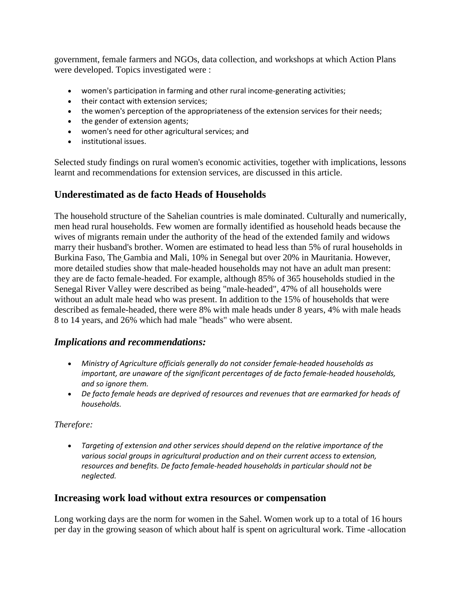government, female farmers and NGOs, data collection, and workshops at which Action Plans were developed. Topics investigated were :

- women's participation in farming and other rural income-generating activities;
- their contact with extension services;
- the women's perception of the appropriateness of the extension services for their needs;
- the gender of extension agents;
- women's need for other agricultural services; and
- institutional issues.

Selected study findings on rural women's economic activities, together with implications, lessons learnt and recommendations for extension services, are discussed in this article.

# **Underestimated as de facto Heads of Households**

The household structure of the Sahelian countries is male dominated. Culturally and numerically, men head rural households. Few women are formally identified as household heads because the wives of migrants remain under the authority of the head of the extended family and widows marry their husband's brother. Women are estimated to head less than 5% of rural households in Burkina Faso, The Gambia and Mali, 10% in Senegal but over 20% in Mauritania. However, more detailed studies show that male-headed households may not have an adult man present: they are de facto female-headed. For example, although 85% of 365 households studied in the Senegal River Valley were described as being "male-headed", 47% of all households were without an adult male head who was present. In addition to the 15% of households that were described as female-headed, there were 8% with male heads under 8 years, 4% with male heads 8 to 14 years, and 26% which had male "heads" who were absent.

## *Implications and recommendations:*

- *Ministry of Agriculture officials generally do not consider female-headed households as important, are unaware of the significant percentages of de facto female-headed households, and so ignore them.*
- *De facto female heads are deprived of resources and revenues that are earmarked for heads of households.*

#### *Therefore:*

• *Targeting of extension and other services should depend on the relative importance of the various social groups in agricultural production and on their current access to extension, resources and benefits. De facto female-headed households in particular should not be neglected.*

#### **Increasing work load without extra resources or compensation**

Long working days are the norm for women in the Sahel. Women work up to a total of 16 hours per day in the growing season of which about half is spent on agricultural work. Time -allocation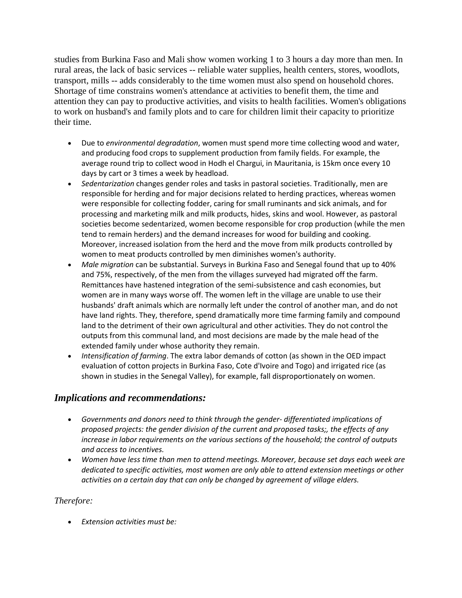studies from Burkina Faso and Mali show women working 1 to 3 hours a day more than men. In rural areas, the lack of basic services -- reliable water supplies, health centers, stores, woodlots, transport, mills -- adds considerably to the time women must also spend on household chores. Shortage of time constrains women's attendance at activities to benefit them, the time and attention they can pay to productive activities, and visits to health facilities. Women's obligations to work on husband's and family plots and to care for children limit their capacity to prioritize their time.

- Due to *environmental degradation*, women must spend more time collecting wood and water, and producing food crops to supplement production from family fields. For example, the average round trip to collect wood in Hodh el Chargui, in Mauritania, is 15km once every 10 days by cart or 3 times a week by headload.
- *Sedentarization* changes gender roles and tasks in pastoral societies. Traditionally, men are responsible for herding and for major decisions related to herding practices, whereas women were responsible for collecting fodder, caring for small ruminants and sick animals, and for processing and marketing milk and milk products, hides, skins and wool. However, as pastoral societies become sedentarized, women become responsible for crop production (while the men tend to remain herders) and the demand increases for wood for building and cooking. Moreover, increased isolation from the herd and the move from milk products controlled by women to meat products controlled by men diminishes women's authority.
- *Male migration* can be substantial. Surveys in Burkina Faso and Senegal found that up to 40% and 75%, respectively, of the men from the villages surveyed had migrated off the farm. Remittances have hastened integration of the semi-subsistence and cash economies, but women are in many ways worse off. The women left in the village are unable to use their husbands' draft animals which are normally left under the control of another man, and do not have land rights. They, therefore, spend dramatically more time farming family and compound land to the detriment of their own agricultural and other activities. They do not control the outputs from this communal land, and most decisions are made by the male head of the extended family under whose authority they remain.
- *Intensification of farming*. The extra labor demands of cotton (as shown in the OED impact evaluation of cotton projects in Burkina Faso, Cote d'Ivoire and Togo) and irrigated rice (as shown in studies in the Senegal Valley), for example, fall disproportionately on women.

## *Implications and recommendations:*

- *Governments and donors need to think through the gender- differentiated implications of proposed projects: the gender division of the current and proposed tasks;, the effects of any increase in labor requirements on the various sections of the household; the control of outputs and access to incentives.*
- *Women have less time than men to attend meetings. Moreover, because set days each week are dedicated to specific activities, most women are only able to attend extension meetings or other activities on a certain day that can only be changed by agreement of village elders.*

#### *Therefore:*

• *Extension activities must be:*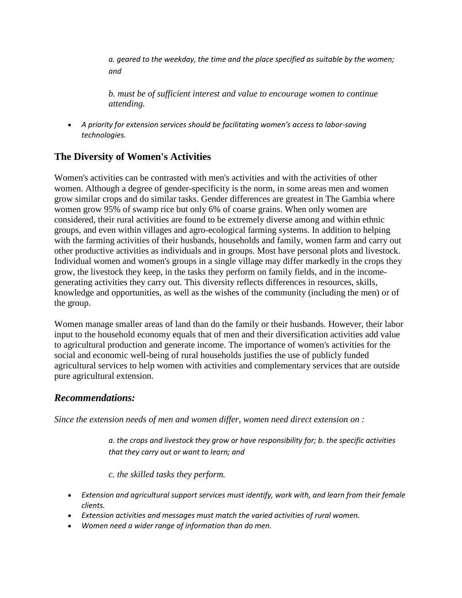*a. geared to the weekday, the time and the place specified as suitable by the women; and*

*b. must be of sufficient interest and value to encourage women to continue attending.*

• *A priority for extension services should be facilitating women's access to labor-saving technologies.*

# **The Diversity of Women's Activities**

Women's activities can be contrasted with men's activities and with the activities of other women. Although a degree of gender-specificity is the norm, in some areas men and women grow similar crops and do similar tasks. Gender differences are greatest in The Gambia where women grow 95% of swamp rice but only 6% of coarse grains. When only women are considered, their rural activities are found to be extremely diverse among and within ethnic groups, and even within villages and agro-ecological farming systems. In addition to helping with the farming activities of their husbands, households and family, women farm and carry out other productive activities as individuals and in groups. Most have personal plots and livestock. Individual women and women's groups in a single village may differ markedly in the crops they grow, the livestock they keep, in the tasks they perform on family fields, and in the incomegenerating activities they carry out. This diversity reflects differences in resources, skills, knowledge and opportunities, as well as the wishes of the community (including the men) or of the group.

Women manage smaller areas of land than do the family or their husbands. However, their labor input to the household economy equals that of men and their diversification activities add value to agricultural production and generate income. The importance of women's activities for the social and economic well-being of rural households justifies the use of publicly funded agricultural services to help women with activities and complementary services that are outside pure agricultural extension.

## *Recommendations:*

*Since the extension needs of men and women differ, women need direct extension on :*

*a. the crops and livestock they grow or have responsibility for; b. the specific activities that they carry out or want to learn; and*

*c. the skilled tasks they perform.*

- *Extension and agricultural support services must identify, work with, and learn from their female clients.*
- *Extension activities and messages must match the varied activities of rural women.*
- *Women need a wider range of information than do men.*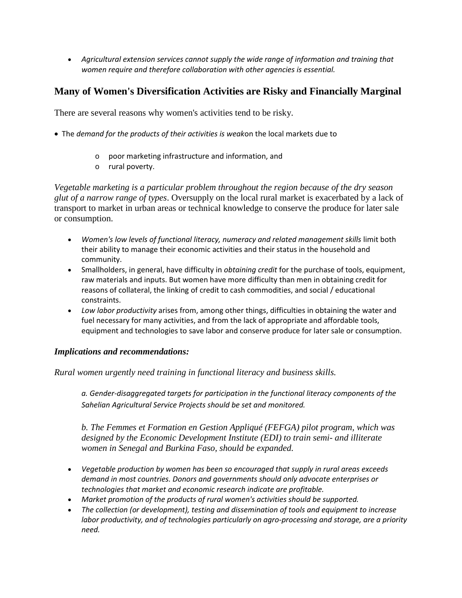• *Agricultural extension services cannot supply the wide range of information and training that women require and therefore collaboration with other agencies is essential.*

## **Many of Women's Diversification Activities are Risky and Financially Marginal**

There are several reasons why women's activities tend to be risky.

- The *demand for the products of their activities is weak*on the local markets due to
	- o poor marketing infrastructure and information, and
	- o rural poverty.

*Vegetable marketing is a particular problem throughout the region because of the dry season glut of a narrow range of types*. Oversupply on the local rural market is exacerbated by a lack of transport to market in urban areas or technical knowledge to conserve the produce for later sale or consumption.

- *Women's low levels of functional literacy, numeracy and related management skills limit both* their ability to manage their economic activities and their status in the household and community.
- Smallholders, in general, have difficulty in *obtaining credit* for the purchase of tools, equipment, raw materials and inputs. But women have more difficulty than men in obtaining credit for reasons of collateral, the linking of credit to cash commodities, and social / educational constraints.
- *Low labor productivity* arises from, among other things, difficulties in obtaining the water and fuel necessary for many activities, and from the lack of appropriate and affordable tools, equipment and technologies to save labor and conserve produce for later sale or consumption.

#### *Implications and recommendations:*

*Rural women urgently need training in functional literacy and business skills.* 

*a. Gender-disaggregated targets for participation in the functional literacy components of the Sahelian Agricultural Service Projects should be set and monitored.*

*b. The Femmes et Formation en Gestion Appliqué (FEFGA) pilot program, which was designed by the Economic Development Institute (EDI) to train semi- and illiterate women in Senegal and Burkina Faso, should be expanded.*

- *Vegetable production by women has been so encouraged that supply in rural areas exceeds demand in most countries. Donors and governments should only advocate enterprises or technologies that market and economic research indicate are profitable.*
- *Market promotion of the products of rural women's activities should be supported.*
- *The collection (or development), testing and dissemination of tools and equipment to increase labor productivity, and of technologies particularly on agro-processing and storage, are a priority need.*